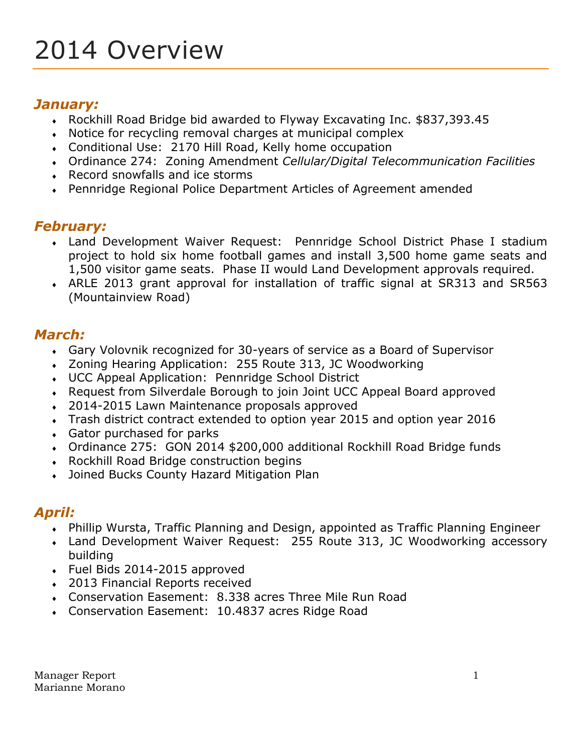# *January:*

- Rockhill Road Bridge bid awarded to Flyway Excavating Inc. \$837,393.45
- Notice for recycling removal charges at municipal complex
- Conditional Use: 2170 Hill Road, Kelly home occupation
- Ordinance 274: Zoning Amendment *Cellular/Digital Telecommunication Facilities*
- Record snowfalls and ice storms
- Pennridge Regional Police Department Articles of Agreement amended

## *February:*

- Land Development Waiver Request: Pennridge School District Phase I stadium project to hold six home football games and install 3,500 home game seats and 1,500 visitor game seats. Phase II would Land Development approvals required.
- ARLE 2013 grant approval for installation of traffic signal at SR313 and SR563 (Mountainview Road)

## *March:*

- Gary Volovnik recognized for 30-years of service as a Board of Supervisor
- Zoning Hearing Application: 255 Route 313, JC Woodworking
- UCC Appeal Application: Pennridge School District
- Request from Silverdale Borough to join Joint UCC Appeal Board approved
- 2014-2015 Lawn Maintenance proposals approved
- Trash district contract extended to option year 2015 and option year 2016
- Gator purchased for parks
- Ordinance 275: GON 2014 \$200,000 additional Rockhill Road Bridge funds
- Rockhill Road Bridge construction begins
- Joined Bucks County Hazard Mitigation Plan

## *April:*

- Phillip Wursta, Traffic Planning and Design, appointed as Traffic Planning Engineer
- Land Development Waiver Request: 255 Route 313, JC Woodworking accessory building
- Fuel Bids 2014-2015 approved
- 2013 Financial Reports received
- Conservation Easement: 8.338 acres Three Mile Run Road
- Conservation Easement: 10.4837 acres Ridge Road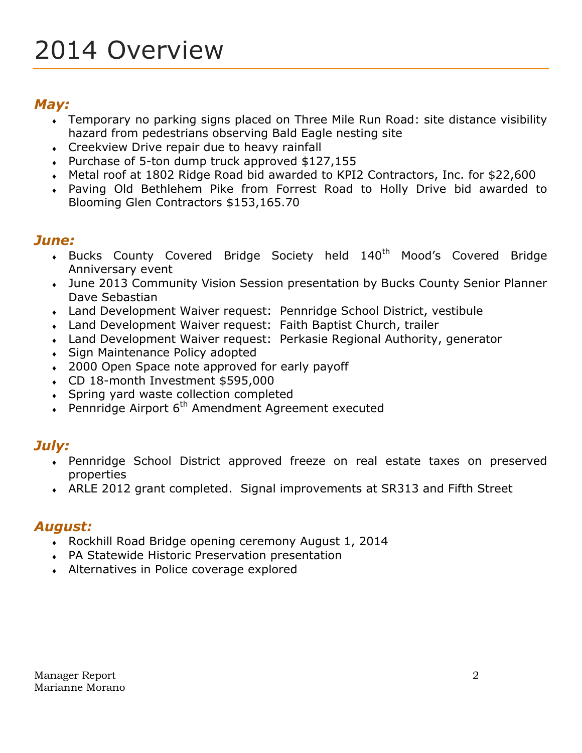# *May:*

- Temporary no parking signs placed on Three Mile Run Road: site distance visibility hazard from pedestrians observing Bald Eagle nesting site
- Creekview Drive repair due to heavy rainfall
- Purchase of 5-ton dump truck approved \$127,155
- Metal roof at 1802 Ridge Road bid awarded to KPI2 Contractors, Inc. for \$22,600
- Paving Old Bethlehem Pike from Forrest Road to Holly Drive bid awarded to Blooming Glen Contractors \$153,165.70

## *June:*

- Bucks County Covered Bridge Society held 140<sup>th</sup> Mood's Covered Bridge Anniversary event
- June 2013 Community Vision Session presentation by Bucks County Senior Planner Dave Sebastian
- Land Development Waiver request: Pennridge School District, vestibule
- Land Development Waiver request: Faith Baptist Church, trailer
- Land Development Waiver request: Perkasie Regional Authority, generator
- Sign Maintenance Policy adopted
- 2000 Open Space note approved for early payoff
- CD 18-month Investment \$595,000
- Spring yard waste collection completed
- $\cdot$  Pennridge Airport 6<sup>th</sup> Amendment Agreement executed

# *July:*

- Pennridge School District approved freeze on real estate taxes on preserved properties
- ARLE 2012 grant completed. Signal improvements at SR313 and Fifth Street

## *August:*

- Rockhill Road Bridge opening ceremony August 1, 2014
- PA Statewide Historic Preservation presentation
- Alternatives in Police coverage explored